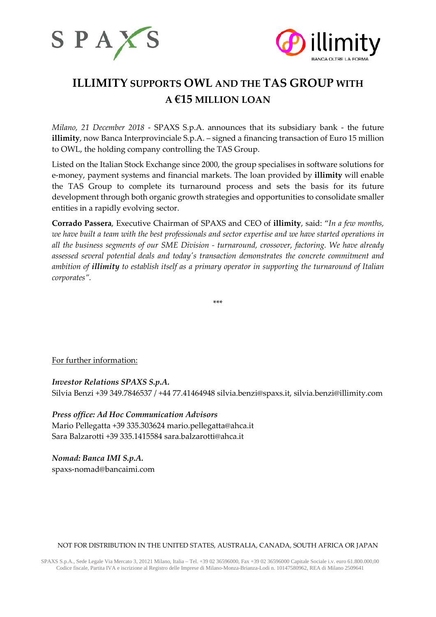



# **ILLIMITY SUPPORTS OWL AND THE TAS GROUP WITH A €15 MILLION LOAN**

*Milano, 21 December 2018* - SPAXS S.p.A. announces that its subsidiary bank - the future **illimity**, now Banca Interprovinciale S.p.A. – signed a financing transaction of Euro 15 million to OWL, the holding company controlling the TAS Group.

Listed on the Italian Stock Exchange since 2000, the group specialises in software solutions for e-money, payment systems and financial markets. The loan provided by **illimity** will enable the TAS Group to complete its turnaround process and sets the basis for its future development through both organic growth strategies and opportunities to consolidate smaller entities in a rapidly evolving sector.

**Corrado Passera**, Executive Chairman of SPAXS and CEO of **illimity**, said: "*In a few months, we have built a team with the best professionals and sector expertise and we have started operations in all the business segments of our SME Division - turnaround, crossover, factoring. We have already assessed several potential deals and today's transaction demonstrates the concrete commitment and ambition of illimity to establish itself as a primary operator in supporting the turnaround of Italian corporates".*

\*\*\*

For further information:

*Investor Relations SPAXS S.p.A.* Silvia Benzi +39 349.7846537 / +44 77.41464948 silvia.benzi@spaxs.it, [silvia.benzi@illimity.com](mailto:silvia.benzi@illimity.it)

*Press office: Ad Hoc Communication Advisors* Mario Pellegatta +39 335.303624 [mario.pellegatta@ahca.it](mailto:mario.pellegatta@ahca.it) Sara Balzarotti +39 335.1415584 [sara.balzarotti@ahca.it](mailto:sara.balzarotti@ahca.it)

*Nomad: Banca IMI S.p.A.* spaxs-nomad@bancaimi.com

## NOT FOR DISTRIBUTION IN THE UNITED STATES, AUSTRALIA, CANADA, SOUTH AFRICA OR JAPAN

SPAXS S.p.A., Sede Legale Via Mercato 3, 20121 Milano, Italia – Tel. +39 02 36596000, Fax +39 02 36596000 Capitale Sociale i.v. euro 61.800.000,00 Codice fiscale, Partita IVA e iscrizione al Registro delle Imprese di Milano-Monza-Brianza-Lodi n. 10147580962, REA di Milano 2509641